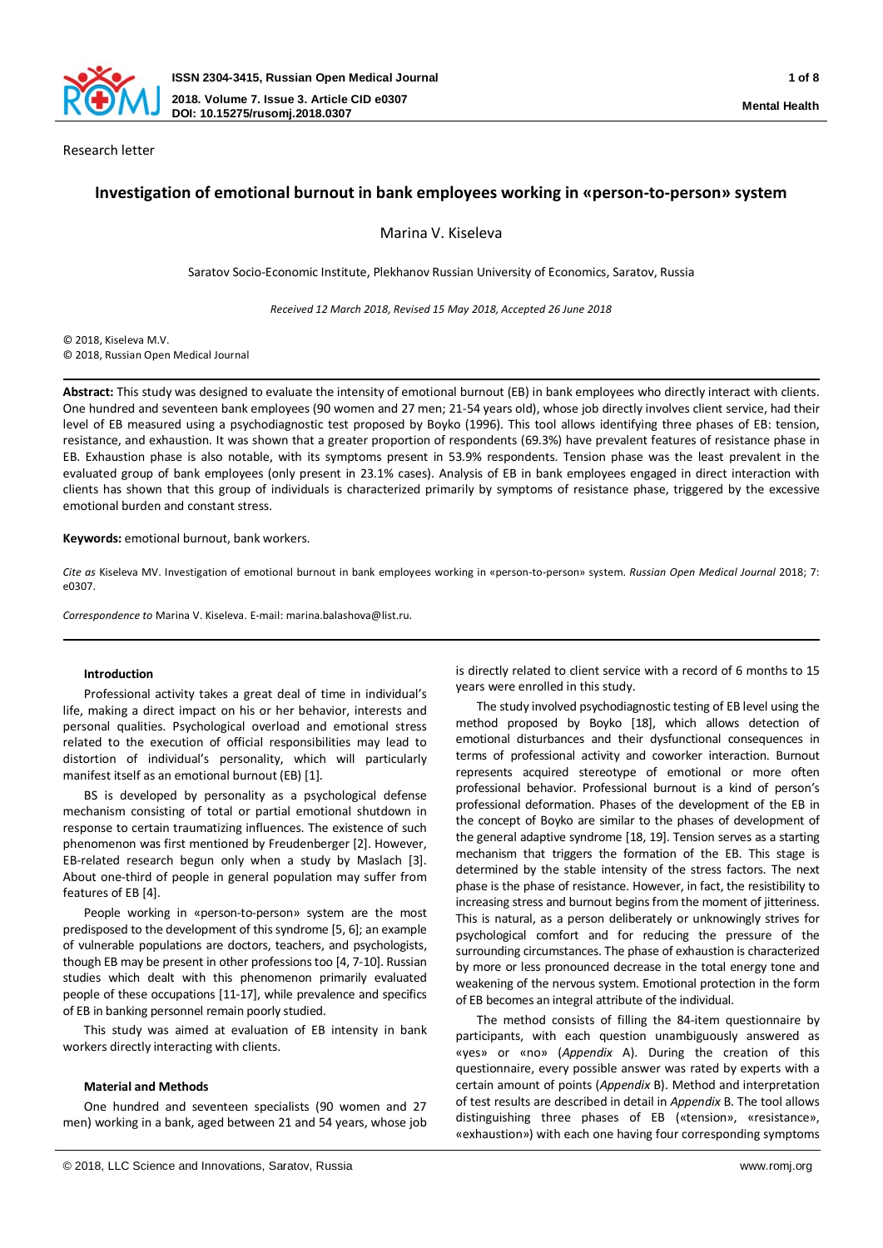

Research letter

# **Investigation of emotional burnout in bank employees working in «person-to-person» system**

Marina V. Kiseleva

Saratov Socio-Economic Institute, Plekhanov Russian University of Economics, Saratov, Russia

*Received 12 March 2018, Revised 15 May 2018, Accepted 26 June 2018*

© 2018, Kiseleva M.V. © 2018, Russian Open Medical Journal

**Abstract:** This study was designed to evaluate the intensity of emotional burnout (EB) in bank employees who directly interact with clients. One hundred and seventeen bank employees (90 women and 27 men; 21-54 years old), whose job directly involves client service, had their level of EB measured using a psychodiagnostic test proposed by Boyko (1996). This tool allows identifying three phases of EB: tension, resistance, and exhaustion. It was shown that a greater proportion of respondents (69.3%) have prevalent features of resistance phase in EB. Exhaustion phase is also notable, with its symptoms present in 53.9% respondents. Tension phase was the least prevalent in the evaluated group of bank employees (only present in 23.1% cases). Analysis of EB in bank employees engaged in direct interaction with clients has shown that this group of individuals is characterized primarily by symptoms of resistance phase, triggered by the excessive emotional burden and constant stress.

#### **Keywords:** emotional burnout, bank workers.

*Cite as* Kiseleva MV. Investigation of emotional burnout in bank employees working in «person-to-person» system. *Russian Open Medical Journal* 2018; 7: e0307.

*Correspondence to* Marina V. Kiseleva. E-mail: marina.balashova@list.ru.

### **Introduction**

Professional activity takes a great deal of time in individual's life, making a direct impact on his or her behavior, interests and personal qualities. Psychological overload and emotional stress related to the execution of official responsibilities may lead to distortion of individual's personality, which will particularly manifest itself as an emotional burnout (EB) [1].

BS is developed by personality as a psychological defense mechanism consisting of total or partial emotional shutdown in response to certain traumatizing influences. The existence of such phenomenon was first mentioned by Freudenberger [2]. However, EB-related research begun only when a study by Maslach [3]. About one-third of people in general population may suffer from features of EB [4].

People working in «person-to-person» system are the most predisposed to the development of this syndrome [5, 6]; an example of vulnerable populations are doctors, teachers, and psychologists, though EB may be present in other professions too [4, 7-10]. Russian studies which dealt with this phenomenon primarily evaluated people of these occupations [11-17], while prevalence and specifics of EB in banking personnel remain poorly studied.

This study was aimed at evaluation of EB intensity in bank workers directly interacting with clients.

#### **Material and Methods**

One hundred and seventeen specialists (90 women and 27 men) working in a bank, aged between 21 and 54 years, whose job is directly related to client service with a record of 6 months to 15 years were enrolled in this study.

The study involved psychodiagnostic testing of EB level using the method proposed by Boyko [18], which allows detection of emotional disturbances and their dysfunctional consequences in terms of professional activity and coworker interaction. Burnout represents acquired stereotype of emotional or more often professional behavior. Professional burnout is a kind of person's professional deformation. Phases of the development of the EB in the concept of Boyko are similar to the phases of development of the general adaptive syndrome [18, 19]. Tension serves as a starting mechanism that triggers the formation of the EB. This stage is determined by the stable intensity of the stress factors. The next phase is the phase of resistance. However, in fact, the resistibility to increasing stress and burnout begins from the moment of jitteriness. This is natural, as a person deliberately or unknowingly strives for psychological comfort and for reducing the pressure of the surrounding circumstances. The phase of exhaustion is characterized by more or less pronounced decrease in the total energy tone and weakening of the nervous system. Emotional protection in the form of EB becomes an integral attribute of the individual.

The method consists of filling the 84-item questionnaire by participants, with each question unambiguously answered as «yes» or «no» (*Appendix* A). During the creation of this questionnaire, every possible answer was rated by experts with a certain amount of points (*Appendix* B). Method and interpretation of test results are described in detail in *Appendix* B. The tool allows distinguishing three phases of EB («tension», «resistance», «exhaustion») with each one having four corresponding symptoms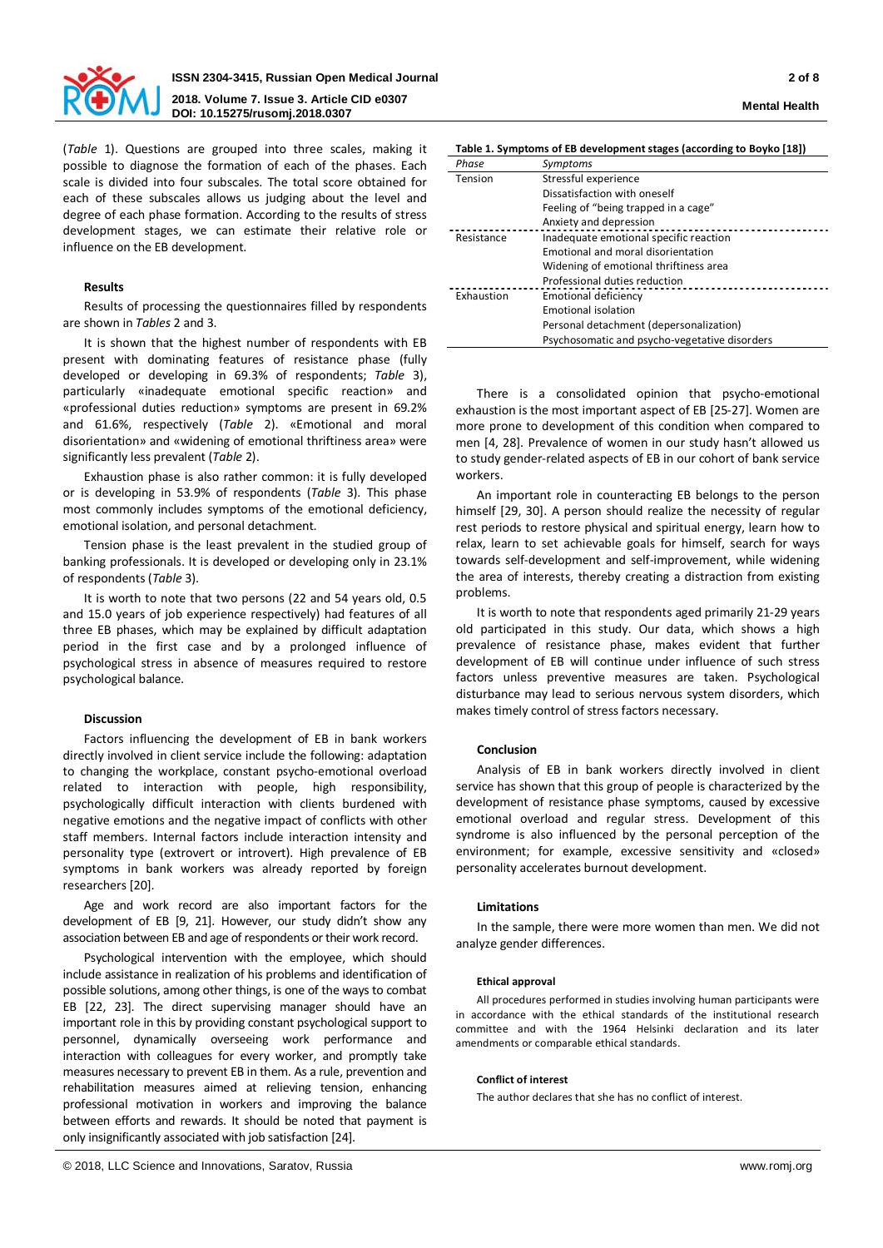

# **ISSN 2304-3415, Russian Open Medical Journal 2 of 8 2018. Volume 7. Issue 3. Article CID e0307 DOI: 10.15275/rusomj.2018.0307 Mental Health**

(*Table* 1). Questions are grouped into three scales, making it possible to diagnose the formation of each of the phases. Each scale is divided into four subscales. The total score obtained for each of these subscales allows us judging about the level and degree of each phase formation. According to the results of stress development stages, we can estimate their relative role or influence on the EB development.

# **Results**

Results of processing the questionnaires filled by respondents are shown in *Tables* 2 and 3.

It is shown that the highest number of respondents with EB present with dominating features of resistance phase (fully developed or developing in 69.3% of respondents; *Table* 3), particularly «inadequate emotional specific reaction» and «professional duties reduction» symptoms are present in 69.2% and 61.6%, respectively (*Table* 2). «Emotional and moral disorientation» and «widening of emotional thriftiness area» were significantly less prevalent (*Table* 2).

Exhaustion phase is also rather common: it is fully developed or is developing in 53.9% of respondents (*Table* 3). This phase most commonly includes symptoms of the emotional deficiency, emotional isolation, and personal detachment.

Tension phase is the least prevalent in the studied group of banking professionals. It is developed or developing only in 23.1% of respondents (*Table* 3).

It is worth to note that two persons (22 and 54 years old, 0.5 and 15.0 years of job experience respectively) had features of all three EB phases, which may be explained by difficult adaptation period in the first case and by a prolonged influence of psychological stress in absence of measures required to restore psychological balance.

# **Discussion**

Factors influencing the development of EB in bank workers directly involved in client service include the following: adaptation to changing the workplace, constant psycho-emotional overload related to interaction with people, high responsibility, psychologically difficult interaction with clients burdened with negative emotions and the negative impact of conflicts with other staff members. Internal factors include interaction intensity and personality type (extrovert or introvert). High prevalence of EB symptoms in bank workers was already reported by foreign researchers [20].

Age and work record are also important factors for the development of EB [9, 21]. However, our study didn't show any association between EB and age of respondents or their work record.

Psychological intervention with the employee, which should include assistance in realization of his problems and identification of possible solutions, among other things, is one of the ways to combat EB [22, 23]. The direct supervising manager should have an important role in this by providing constant psychological support to personnel, dynamically overseeing work performance and interaction with colleagues for every worker, and promptly take measures necessary to prevent EB in them. As a rule, prevention and rehabilitation measures aimed at relieving tension, enhancing professional motivation in workers and improving the balance between efforts and rewards. It should be noted that payment is only insignificantly associated with job satisfaction [24].

| Table 1. Symptoms of EB development stages (according to Boyko [18]) |  |  |
|----------------------------------------------------------------------|--|--|
|                                                                      |  |  |

| Phase      | Symptoms                                      |
|------------|-----------------------------------------------|
| Tension    | Stressful experience                          |
|            | Dissatisfaction with oneself                  |
|            | Feeling of "being trapped in a cage"          |
|            | Anxiety and depression                        |
| Resistance | Inadequate emotional specific reaction        |
|            | Emotional and moral disorientation            |
|            | Widening of emotional thriftiness area        |
|            | Professional duties reduction                 |
| Exhaustion | Emotional deficiency                          |
|            | <b>Emotional isolation</b>                    |
|            | Personal detachment (depersonalization)       |
|            | Psychosomatic and psycho-vegetative disorders |

There is a consolidated opinion that psycho-emotional exhaustion is the most important aspect of EB [25-27]. Women are more prone to development of this condition when compared to men [4, 28]. Prevalence of women in our study hasn't allowed us to study gender-related aspects of EB in our cohort of bank service workers.

An important role in counteracting EB belongs to the person himself [29, 30]. A person should realize the necessity of regular rest periods to restore physical and spiritual energy, learn how to relax, learn to set achievable goals for himself, search for ways towards self-development and self-improvement, while widening the area of interests, thereby creating a distraction from existing problems.

It is worth to note that respondents aged primarily 21-29 years old participated in this study. Our data, which shows a high prevalence of resistance phase, makes evident that further development of EB will continue under influence of such stress factors unless preventive measures are taken. Psychological disturbance may lead to serious nervous system disorders, which makes timely control of stress factors necessary.

#### **Conclusion**

Analysis of EB in bank workers directly involved in client service has shown that this group of people is characterized by the development of resistance phase symptoms, caused by excessive emotional overload and regular stress. Development of this syndrome is also influenced by the personal perception of the environment; for example, excessive sensitivity and «closed» personality accelerates burnout development.

#### **Limitations**

In the sample, there were more women than men. We did not analyze gender differences.

#### **Ethical approval**

All procedures performed in studies involving human participants were in accordance with the ethical standards of the institutional research committee and with the 1964 Helsinki declaration and its later amendments or comparable ethical standards.

#### **Conflict of interest**

The author declares that she has no conflict of interest.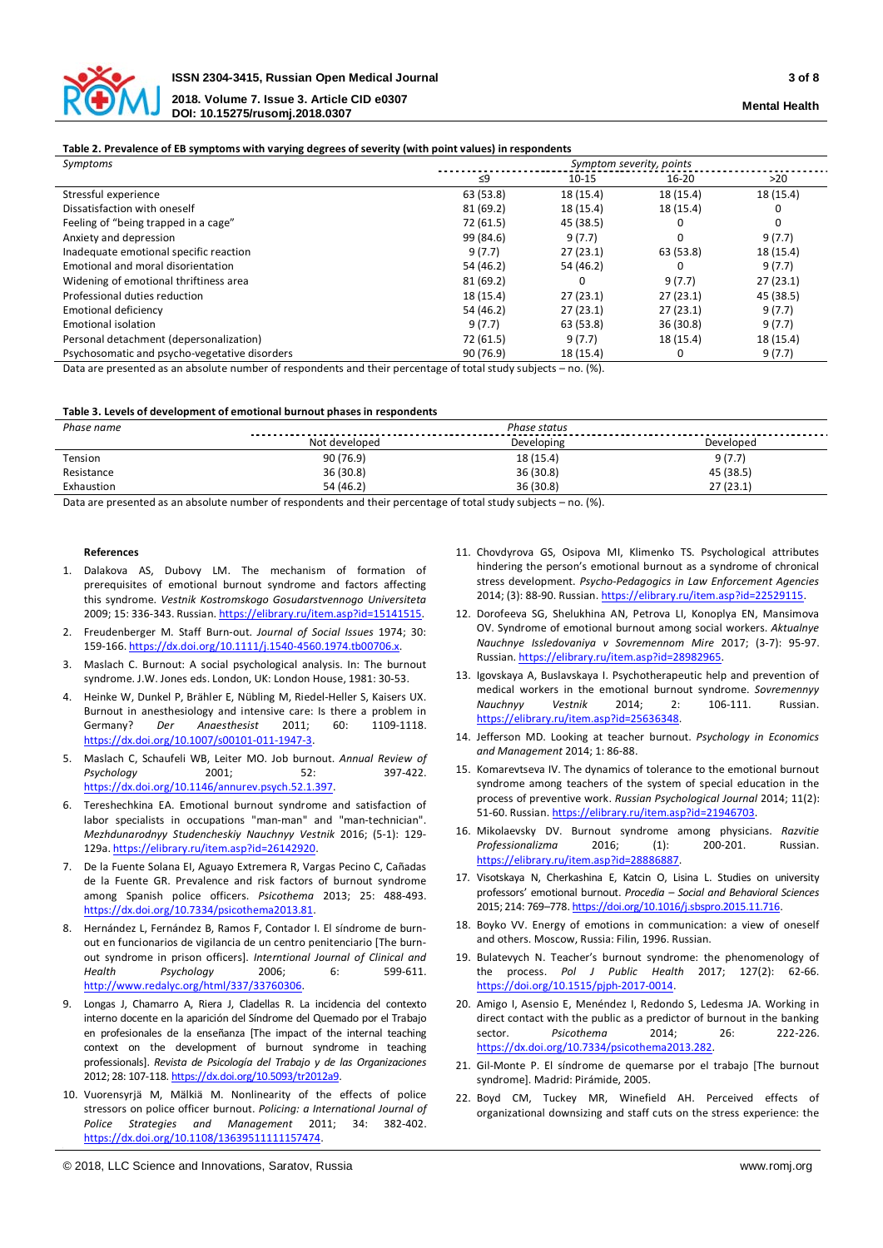

### **Table 2. Prevalence of EB symptoms with varying degrees of severity (with point values) in respondents**

| Symptoms                                      |           | Symptom severity, points |           |           |  |  |  |  |
|-----------------------------------------------|-----------|--------------------------|-----------|-----------|--|--|--|--|
|                                               | ≤9        | $10 - 15$                | 16-20     | >20       |  |  |  |  |
| Stressful experience                          | 63 (53.8) | 18 (15.4)                | 18 (15.4) | 18 (15.4) |  |  |  |  |
| Dissatisfaction with oneself                  | 81 (69.2) | 18 (15.4)                | 18 (15.4) |           |  |  |  |  |
| Feeling of "being trapped in a cage"          | 72 (61.5) | 45 (38.5)                |           | 0         |  |  |  |  |
| Anxiety and depression                        | 99 (84.6) | 9(7.7)                   |           | 9(7.7)    |  |  |  |  |
| Inadequate emotional specific reaction        | 9(7.7)    | 27(23.1)                 | 63 (53.8) | 18 (15.4) |  |  |  |  |
| Emotional and moral disorientation            | 54 (46.2) | 54 (46.2)                |           | 9(7.7)    |  |  |  |  |
| Widening of emotional thriftiness area        | 81(69.2)  |                          | 9(7.7)    | 27(23.1)  |  |  |  |  |
| Professional duties reduction                 | 18 (15.4) | 27(23.1)                 | 27(23.1)  | 45 (38.5) |  |  |  |  |
| <b>Emotional deficiency</b>                   | 54 (46.2) | 27(23.1)                 | 27(23.1)  | 9(7.7)    |  |  |  |  |
| Emotional isolation                           | 9(7.7)    | 63 (53.8)                | 36(30.8)  | 9(7.7)    |  |  |  |  |
| Personal detachment (depersonalization)       | 72 (61.5) | 9(7.7)                   | 18 (15.4) | 18 (15.4) |  |  |  |  |
| Psychosomatic and psycho-vegetative disorders | 90 (76.9) | 18 (15.4)                |           | 9(7.7)    |  |  |  |  |

Data are presented as an absolute number of respondents and their percentage of total study subjects – no. (%).

#### **Table 3. Levels of development of emotional burnout phases in respondents**

| Phase name | Phase status  |            |           |  |  |  |  |  |
|------------|---------------|------------|-----------|--|--|--|--|--|
|            | Not developed | Developing | Developed |  |  |  |  |  |
| Tension    | 90(76.9)      | 18 (15.4)  | 9(7.7)    |  |  |  |  |  |
| Resistance | 36(30.8)      | 36 (30.8)  | 45 (38.5) |  |  |  |  |  |
| Exhaustion | 54 (46.2)     | 36 (30.8)  | 27 (23.1) |  |  |  |  |  |

Data are presented as an absolute number of respondents and their percentage of total study subjects – no. (%).

#### **References**

- 1. Dalakova AS, Dubovy LM. The mechanism of formation of prerequisites of emotional burnout syndrome and factors affecting this syndrome. *Vestnik Kostromskogo Gosudarstvennogo Universiteta* 2009; 15: 336-343. Russian. [https://elibrary.ru/item.asp?id=15141515.](https://elibrary.ru/item.asp?id=15141515)
- 2. Freudenberger M. Staff Burn-out. *Journal of Social Issues* 1974; 30: 159-166[. https://dx.doi.org/10.1111/j.1540-4560.1974.tb00706.x.](https://dx.doi.org/10.1111/j.1540-4560.1974.tb00706.x)
- 3. Maslach C. Burnout: A social psychological analysis. In: The burnout syndrome. J.W. Jones eds. London, UK: London House, 1981: 30-53.
- 4. Heinke W, Dunkel P, Brähler E, Nübling M, Riedel-Heller S, Kaisers UX. Burnout in anesthesiology and intensive care: Is there a problem in Germany? *Der Anaesthesist* 2011; 60: 1109-1118. [https://dx.doi.org/10.1007/s00101-011-1947-3.](https://dx.doi.org/10.1007/s00101-011-1947-3)
- 5. Maslach C, Schaufeli WB, Leiter MO. Job burnout. *Annual Review of Psychology* 2001; 52: 397-422. [https://dx.doi.org/10.1146/annurev.psych.52.1.397.](https://dx.doi.org/10.1146/annurev.psych.52.1.397)
- 6. Tereshechkina EA. Emotional burnout syndrome and satisfaction of labor specialists in occupations "man-man" and "man-technician". *Mezhdunarodnyy Studencheskiy Nauchnyy Vestnik* 2016; (5-1): 129- 129a[. https://elibrary.ru/item.asp?id=26142920.](https://elibrary.ru/item.asp?id=26142920)
- 7. De la Fuente Solana EI, Aguayo Extremera R, Vargas Pecino C, Cañadas de la Fuente GR. Prevalence and risk factors of burnout syndrome among Spanish police officers. *Psicothema* 2013; 25: 488-493. [https://dx.doi.org/10.7334/psicothema2013.81.](https://dx.doi.org/10.7334/psicothema2013.81)
- 8. Hernández L, Fernández B, Ramos F, Contador I. El síndrome de burnout en funcionarios de vigilancia de un centro penitenciario [The burnout syndrome in prison officers]. *Interntional Journal of Clinical and Health Psychology* 2006; 6: 599-611. [http://www.redalyc.org/html/337/33760306.](http://www.redalyc.org/html/337/33760306)
- 9. Longas J, Chamarro A, Riera J, Cladellas R. La incidencia del contexto interno docente en la aparición del Síndrome del Quemado por el Trabajo en profesionales de la enseñanza [The impact of the internal teaching context on the development of burnout syndrome in teaching professionals]. *Revista de Psicología del Trabajo y de las Organizaciones*  2012; 28: 107-118[. https://dx.doi.org/10.5093/tr2012a9.](https://dx.doi.org/10.5093/tr2012a9)
- 10. Vuorensyrjä M, Mälkiä M. Nonlinearity of the effects of police stressors on police officer burnout. *Policing: a International Journal of Police Strategies and Management* 2011; 34: 382-402. [https://dx.doi.org/10.1108/13639511111157474.](https://dx.doi.org/10.1108/13639511111157474)
- 11. Chovdyrova GS, Osipova MI, Klimenko TS. Psychological attributes hindering the person's emotional burnout as a syndrome of chronical stress development. *Psycho-Pedagogics in Law Enforcement Agencies*  2014; (3): 88-90. Russian. [https://elibrary.ru/item.asp?id=22529115.](https://elibrary.ru/item.asp?id=22529115)
- 12. Dorofeeva SG, Shelukhina AN, Petrova LI, Konoplya EN, Mansimova OV. Syndrome of emotional burnout among social workers. *Aktualnye Nauchnye Issledovaniya v Sovremennom Mire* 2017; (3-7): 95-97. Russian. [https://elibrary.ru/item.asp?id=28982965.](https://elibrary.ru/item.asp?id=28982965)
- 13. Igovskaya A, Buslavskaya I. Psychotherapeutic help and prevention of medical workers in the emotional burnout syndrome. *Sovremennyy Nauchnyy Vestnik* 2014; 2: 106-111. Russian. [https://elibrary.ru/item.asp?id=25636348.](https://elibrary.ru/item.asp?id=25636348)
- 14. Jefferson MD. Looking at teacher burnout. *Psychology in Economics and Management* 2014; 1: 86-88.
- 15. Komarevtseva IV. The dynamics of tolerance to the emotional burnout syndrome among teachers of the system of special education in the process of preventive work. *Russian Psychological Journal* 2014; 11(2): 51-60. Russian. https://elibrary.ru/item.asp?id=21946703
- 16. Mikolaevsky DV. Burnout syndrome among physicians. *Razvitie Professionalizma* 2016; (1): 200-201. Russian. [https://elibrary.ru/item.asp?id=28886887.](https://elibrary.ru/item.asp?id=28886887)
- 17. Visotskaya N, Cherkashina E, Katcin O, Lisina L. Studies on university professors' emotional burnout. *Procedia – Social and Behavioral Sciences* 2015; 214: 769–778[. https://doi.org/10.1016/j.sbspro.2015.11.716.](https://doi.org/10.1016/j.sbspro.2015.11.716)
- 18. Boyko VV. Energy of emotions in communication: a view of oneself and others. Moscow, Russia: Filin, 1996. Russian.
- 19. Bulatevych N. Teacher's burnout syndrome: the phenomenology of the process. *Pol J Public Health* 2017; 127(2): 62-66. [https://doi.org/10.1515/pjph-2017-0014.](https://doi.org/10.1515/pjph-2017-0014)
- 20. Amigo I, Asensio E, Menéndez I, Redondo S, Ledesma JA. Working in direct contact with the public as a predictor of burnout in the banking sector. *Psicothema* 2014: 26: [https://dx.doi.org/10.7334/psicothema2013.282.](https://dx.doi.org/10.7334/psicothema2013.282)
- 21. Gil-Monte P. El síndrome de quemarse por el trabajo [The burnout syndrome]. Madrid: Pirámide, 2005.
- 22. Boyd CM, Tuckey MR, Winefield AH. Perceived effects of organizational downsizing and staff cuts on the stress experience: the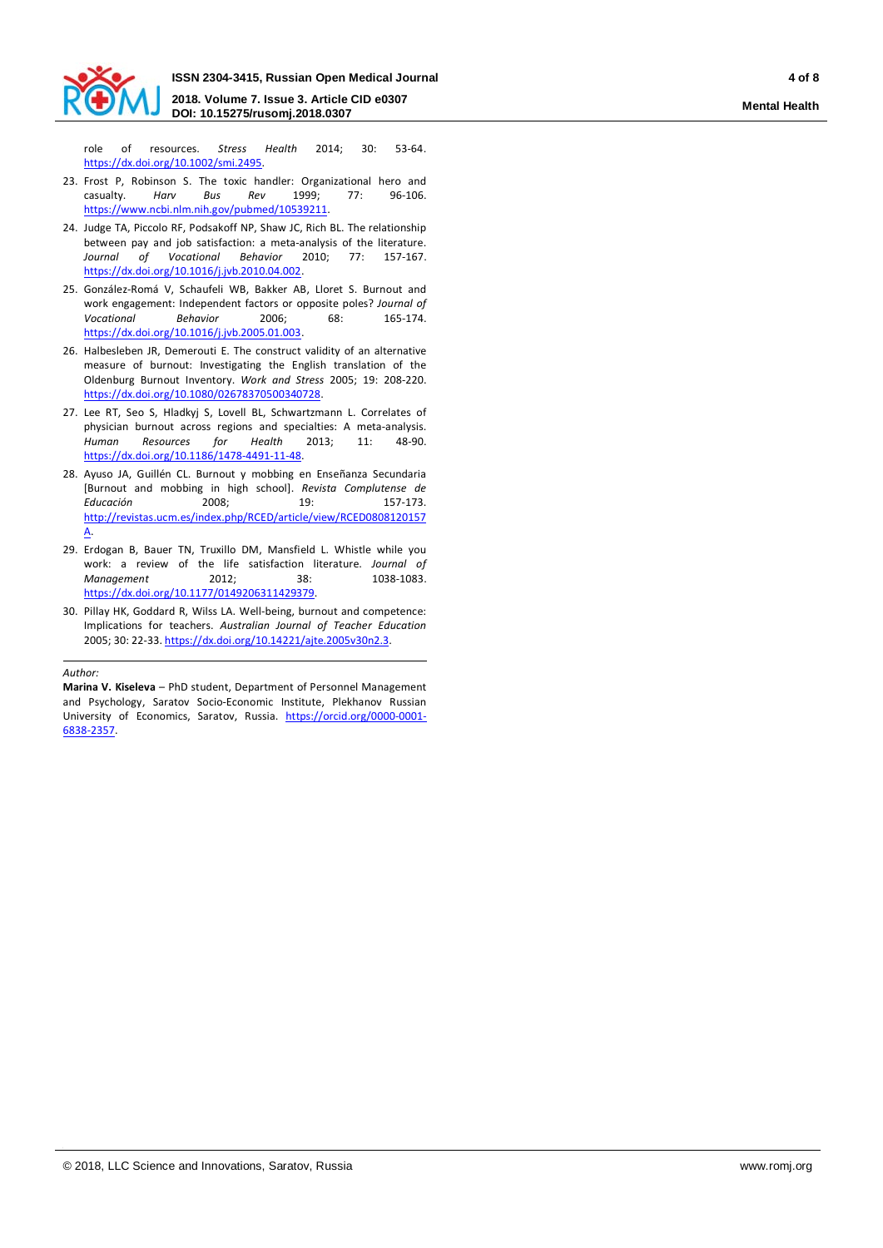

role of resources. *Stress Health* 2014; 30: 53-64. [https://dx.doi.org/10.1002/smi.2495.](https://dx.doi.org/10.1002/smi.2495)

- 23. Frost P, Robinson S. The toxic handler: Organizational hero and casualty. *Harv Bus Rev* 1999; 77: 96-106. [https://www.ncbi.nlm.nih.gov/pubmed/10539211.](https://www.ncbi.nlm.nih.gov/pubmed/10539211)
- 24. Judge TA, Piccolo RF, Podsakoff NP, Shaw JC, Rich BL. The relationship between pay and job satisfaction: a meta-analysis of the literature. *Journal of Vocational Behavior* 2010; 77: 157-167. [https://dx.doi.org/10.1016/j.jvb.2010.04.002.](https://dx.doi.org/10.1016/j.jvb.2010.04.002)
- 25. González-Romá V, Schaufeli WB, Bakker AB, Lloret S. Burnout and work engagement: Independent factors or opposite poles? *Journal of Vocational Behavior* 2006; 68: 165-174. [https://dx.doi.org/10.1016/j.jvb.2005.01.003.](https://dx.doi.org/10.1016/j.jvb.2005.01.003)
- 26. Halbesleben JR, Demerouti E. The construct validity of an alternative measure of burnout: Investigating the English translation of the Oldenburg Burnout Inventory. *Work and Stress* 2005; 19: 208-220. [https://dx.doi.org/10.1080/02678370500340728.](https://dx.doi.org/10.1080/02678370500340728)
- 27. Lee RT, Seo S, Hladkyj S, Lovell BL, Schwartzmann L. Correlates of physician burnout across regions and specialties: A meta-analysis. *Human Resources for Health* 2013; 11: 48-90. [https://dx.doi.org/10.1186/1478-4491-11-48.](https://dx.doi.org/10.1186/1478-4491-11-48)
- 28. Ayuso JA, Guillén CL. Burnout y mobbing en Enseñanza Secundaria [Burnout and mobbing in high school]. *Revista Complutense de Educación* 2008; 19: 157-173. [http://revistas.ucm.es/index.php/RCED/article/view/RCED0808120157](http://revistas.ucm.es/index.php/RCED/article/view/RCED0808120157A) [A.](http://revistas.ucm.es/index.php/RCED/article/view/RCED0808120157A)
- 29. Erdogan B, Bauer TN, Truxillo DM, Mansfield L. Whistle while you work: a review of the life satisfaction literature. *Journal of Management* **2012:** 38: [https://dx.doi.org/10.1177/0149206311429379.](https://dx.doi.org/10.1177/0149206311429379)
- 30. Pillay HK, Goddard R, Wilss LA. Well-being, burnout and competence: Implications for teachers. *Australian Journal of Teacher Education*  2005; 30: 22-33[. https://dx.doi.org/10.14221/ajte.2005v30n2.3.](https://dx.doi.org/10.14221/ajte.2005v30n2.3)

*Author:*

**Marina V. Kiseleva** – PhD student, Department of Personnel Management and Psychology, Saratov Socio-Economic Institute, Plekhanov Russian University of Economics, Saratov, Russia. [https://orcid.org/0000-0001-](https://orcid.org/0000-0001-6838-2357) [6838-2357.](https://orcid.org/0000-0001-6838-2357)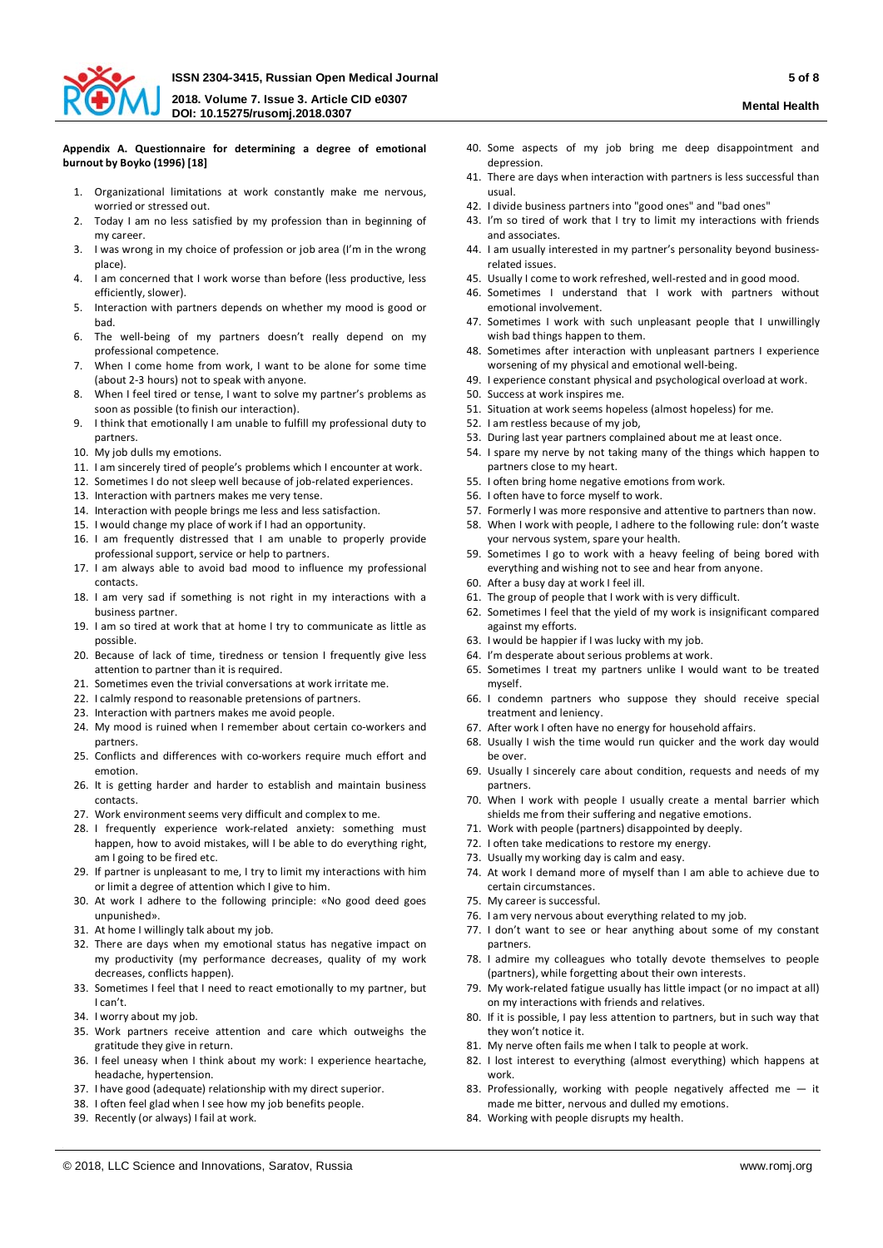

#### **Appendix A. Questionnaire for determining a degree of emotional burnout by Boyko (1996) [18]**

- 1. Organizational limitations at work constantly make me nervous, worried or stressed out.
- 2. Today I am no less satisfied by my profession than in beginning of my career.
- 3. I was wrong in my choice of profession or job area (I'm in the wrong place).
- 4. I am concerned that I work worse than before (less productive, less efficiently, slower).
- 5. Interaction with partners depends on whether my mood is good or bad.
- 6. The well-being of my partners doesn't really depend on my professional competence.
- 7. When I come home from work, I want to be alone for some time (about 2-3 hours) not to speak with anyone.
- 8. When I feel tired or tense, I want to solve my partner's problems as soon as possible (to finish our interaction).
- 9. I think that emotionally I am unable to fulfill my professional duty to partners.
- 10. My job dulls my emotions.
- 11. I am sincerely tired of people's problems which I encounter at work.
- 12. Sometimes I do not sleep well because of job-related experiences.
- 13. Interaction with partners makes me very tense.
- 14. Interaction with people brings me less and less satisfaction.
- 15. I would change my place of work if I had an opportunity.
- 16. I am frequently distressed that I am unable to properly provide professional support, service or help to partners.
- 17. I am always able to avoid bad mood to influence my professional contacts.
- 18. I am very sad if something is not right in my interactions with a business partner.
- 19. I am so tired at work that at home I try to communicate as little as possible.
- 20. Because of lack of time, tiredness or tension I frequently give less attention to partner than it is required.
- 21. Sometimes even the trivial conversations at work irritate me.
- 22. I calmly respond to reasonable pretensions of partners.
- 23. Interaction with partners makes me avoid people.
- 24. My mood is ruined when I remember about certain co-workers and partners.
- 25. Conflicts and differences with co-workers require much effort and emotion.
- 26. It is getting harder and harder to establish and maintain business contacts.
- 27. Work environment seems very difficult and complex to me.
- 28. I frequently experience work-related anxiety: something must happen, how to avoid mistakes, will I be able to do everything right, am I going to be fired etc.
- 29. If partner is unpleasant to me, I try to limit my interactions with him or limit a degree of attention which I give to him.
- 30. At work I adhere to the following principle: «No good deed goes unpunished».
- 31. At home I willingly talk about my job.
- 32. There are days when my emotional status has negative impact on my productivity (my performance decreases, quality of my work decreases, conflicts happen).
- 33. Sometimes I feel that I need to react emotionally to my partner, but I can't.
- 34. I worry about my job.
- 35. Work partners receive attention and care which outweighs the gratitude they give in return.
- 36. I feel uneasy when I think about my work: I experience heartache, headache, hypertension.
- 37. I have good (adequate) relationship with my direct superior.
- 38. I often feel glad when I see how my job benefits people.
- 39. Recently (or always) I fail at work.
- 
- 40. Some aspects of my job bring me deep disappointment and depression.
- 41. There are days when interaction with partners is less successful than usual.
- 42. I divide business partners into "good ones" and "bad ones"
- 43. I'm so tired of work that I try to limit my interactions with friends
- and associates. 44. I am usually interested in my partner's personality beyond businessrelated issues.
- 45. Usually I come to work refreshed, well-rested and in good mood.
- 46. Sometimes I understand that I work with partners without emotional involvement.
- 47. Sometimes I work with such unpleasant people that I unwillingly wish bad things happen to them.
- 48. Sometimes after interaction with unpleasant partners I experience worsening of my physical and emotional well-being.
- 49. I experience constant physical and psychological overload at work.
- 50. Success at work inspires me.
- 51. Situation at work seems hopeless (almost hopeless) for me.
- 52. I am restless because of my job,
- 53. During last year partners complained about me at least once.
- 54. I spare my nerve by not taking many of the things which happen to partners close to my heart.
- 55. I often bring home negative emotions from work.
- 56. I often have to force myself to work.
- 57. Formerly I was more responsive and attentive to partners than now.
- 58. When I work with people, I adhere to the following rule: don't waste your nervous system, spare your health.
- 59. Sometimes I go to work with a heavy feeling of being bored with everything and wishing not to see and hear from anyone.
- 60. After a busy day at work I feel ill.
- 61. The group of people that I work with is very difficult.
- 62. Sometimes I feel that the yield of my work is insignificant compared against my efforts.
- 63. I would be happier if I was lucky with my job.
- 64. I'm desperate about serious problems at work.
- 65. Sometimes I treat my partners unlike I would want to be treated myself.
- 66. I condemn partners who suppose they should receive special treatment and leniency.
- 67. After work I often have no energy for household affairs.
- 68. Usually I wish the time would run quicker and the work day would be over.
- 69. Usually I sincerely care about condition, requests and needs of my partners.
- 70. When I work with people I usually create a mental barrier which shields me from their suffering and negative emotions.
- 71. Work with people (partners) disappointed by deeply.
- 72. I often take medications to restore my energy.
- 73. Usually my working day is calm and easy.
- 74. At work I demand more of myself than I am able to achieve due to certain circumstances.
- 75. My career is successful.
- 76. I am very nervous about everything related to my job.
- 77. I don't want to see or hear anything about some of my constant partners.
- 78. I admire my colleagues who totally devote themselves to people (partners), while forgetting about their own interests.
- 79. My work-related fatigue usually has little impact (or no impact at all) on my interactions with friends and relatives.
- 80. If it is possible, I pay less attention to partners, but in such way that they won't notice it.
- 81. My nerve often fails me when I talk to people at work.
- 82. I lost interest to everything (almost everything) which happens at work.
- 83. Professionally, working with people negatively affected me  $-$  it made me bitter, nervous and dulled my emotions.
- 84. Working with people disrupts my health.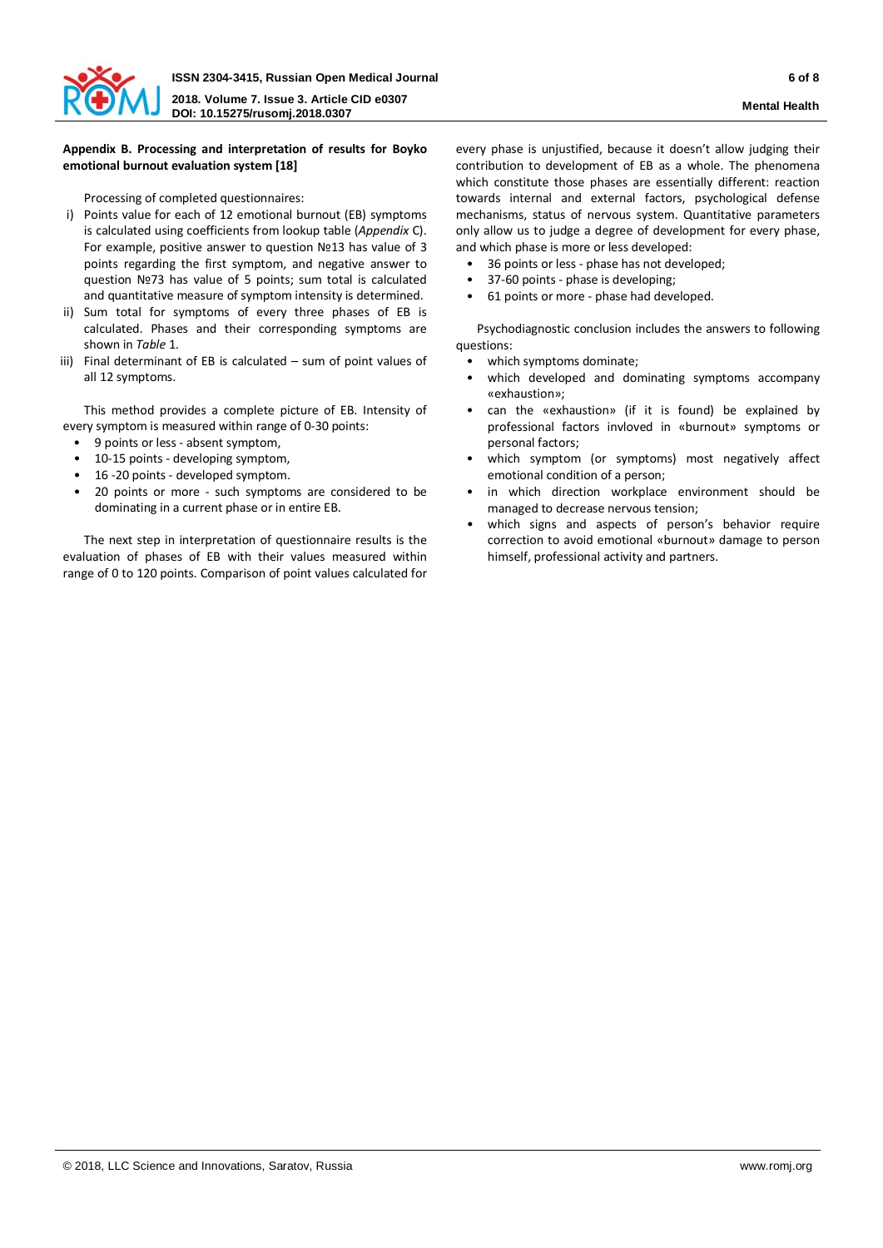

# **Appendix B. Processing and interpretation of results for Boyko emotional burnout evaluation system [18]**

Processing of completed questionnaires:

- i) Points value for each of 12 emotional burnout (EB) symptoms is calculated using coefficients from lookup table (*Appendix* C). For example, positive answer to question №13 has value of 3 points regarding the first symptom, and negative answer to question №73 has value of 5 points; sum total is calculated and quantitative measure of symptom intensity is determined.
- ii) Sum total for symptoms of every three phases of EB is calculated. Phases and their corresponding symptoms are shown in *Table* 1.
- iii) Final determinant of EB is calculated sum of point values of all 12 symptoms.

This method provides a complete picture of EB. Intensity of every symptom is measured within range of 0-30 points:

- 9 points or less absent symptom,
- 10-15 points developing symptom,
- 16 -20 points developed symptom.
- 20 points or more such symptoms are considered to be dominating in a current phase or in entire EB.

The next step in interpretation of questionnaire results is the evaluation of phases of EB with their values measured within range of 0 to 120 points. Comparison of point values calculated for

every phase is unjustified, because it doesn't allow judging their contribution to development of EB as a whole. The phenomena which constitute those phases are essentially different: reaction towards internal and external factors, psychological defense mechanisms, status of nervous system. Quantitative parameters only allow us to judge a degree of development for every phase, and which phase is more or less developed:

- 36 points or less phase has not developed;
- 37-60 points phase is developing;
- 61 points or more phase had developed.

Psychodiagnostic conclusion includes the answers to following questions:

- which symptoms dominate;
- which developed and dominating symptoms accompany «exhaustion»;
- can the «exhaustion» (if it is found) be explained by professional factors invloved in «burnout» symptoms or personal factors;
- which symptom (or symptoms) most negatively affect emotional condition of a person;
- in which direction workplace environment should be managed to decrease nervous tension;
- which signs and aspects of person's behavior require correction to avoid emotional «burnout» damage to person himself, professional activity and partners.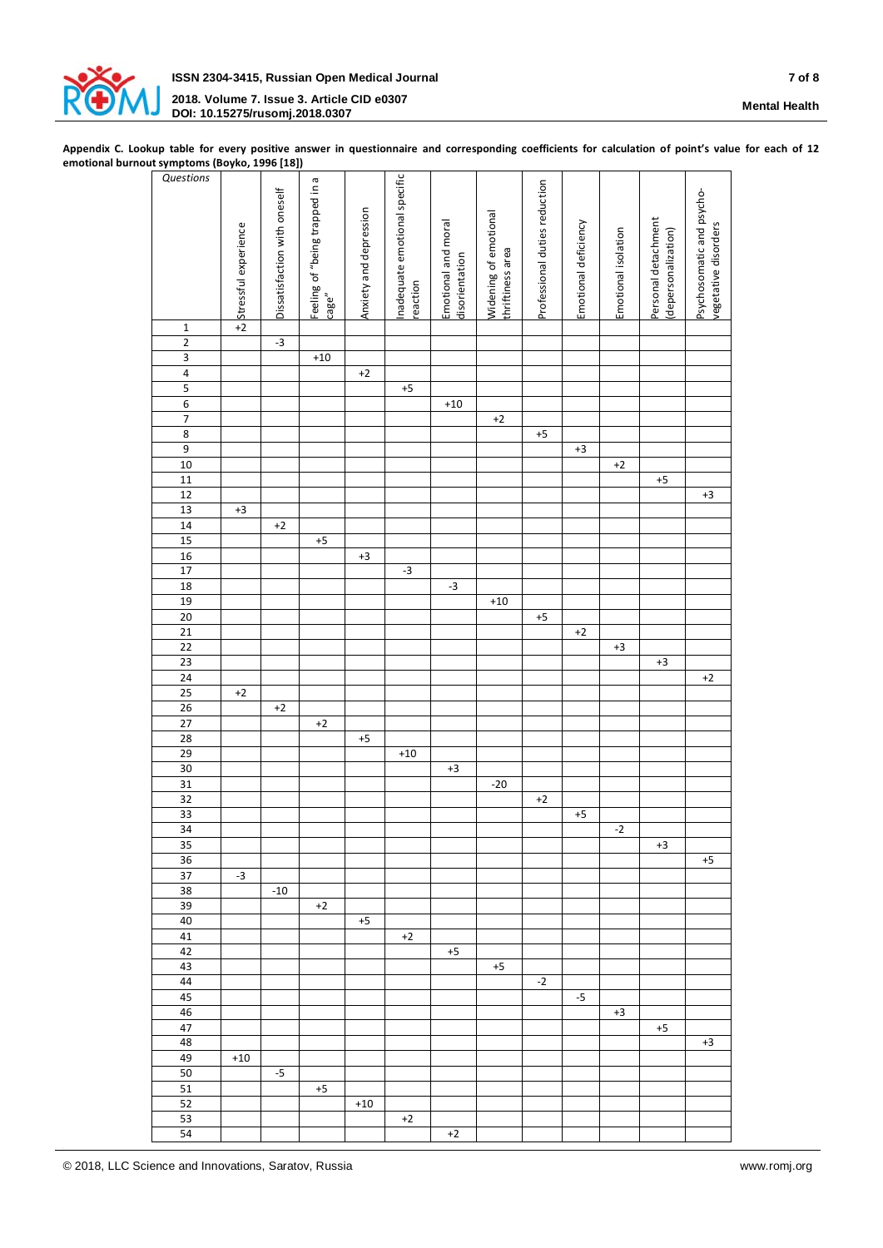

**Appendix С. Lookup table for every positive answer in questionnaire and corresponding coefficients for calculation of point's value for each of 12 emotional burnout symptoms (Boyko, 1996 [18])**

| , יייי                  | -,,                    | --- L<br>-∽…                 |                                |                        |                              |                     |                       |                               |                      |                     |                     |                           |
|-------------------------|------------------------|------------------------------|--------------------------------|------------------------|------------------------------|---------------------|-----------------------|-------------------------------|----------------------|---------------------|---------------------|---------------------------|
| Questions               |                        |                              |                                |                        | nadequate emotional specific |                     |                       |                               |                      |                     |                     |                           |
|                         |                        |                              | Feeling of "being trapped in a |                        |                              |                     |                       | Professional duties reduction |                      |                     |                     |                           |
|                         |                        | Dissatisfaction with oneself |                                |                        |                              |                     |                       |                               |                      |                     |                     | Psychosomatic and psycho- |
|                         |                        |                              |                                |                        |                              |                     |                       |                               |                      |                     |                     |                           |
|                         |                        |                              |                                | Anxiety and depression |                              |                     | Widening of emotional |                               |                      |                     |                     |                           |
|                         | t Stressful experience |                              |                                |                        |                              | Emotional and moral |                       |                               | Emotional deficiency |                     | Personal detachment | vegetative disorders      |
|                         |                        |                              |                                |                        |                              |                     |                       |                               |                      |                     |                     |                           |
|                         |                        |                              |                                |                        |                              |                     |                       |                               |                      |                     |                     |                           |
|                         |                        |                              |                                |                        |                              |                     |                       |                               |                      |                     |                     |                           |
|                         |                        |                              |                                |                        |                              |                     |                       |                               |                      |                     |                     |                           |
|                         |                        |                              |                                |                        |                              |                     |                       |                               |                      |                     |                     |                           |
|                         |                        |                              |                                |                        | eaction                      | disorientation      | thriftiness area      |                               |                      | Emotional isolation | depersonalization)  |                           |
|                         |                        |                              | cage"                          |                        |                              |                     |                       |                               |                      |                     |                     |                           |
|                         |                        |                              |                                |                        |                              |                     |                       |                               |                      |                     |                     |                           |
|                         |                        |                              |                                |                        |                              |                     |                       |                               |                      |                     |                     |                           |
| $\mathbf 1$             |                        |                              |                                |                        |                              |                     |                       |                               |                      |                     |                     |                           |
| $\overline{2}$          |                        | $-3$                         |                                |                        |                              |                     |                       |                               |                      |                     |                     |                           |
|                         |                        |                              |                                |                        |                              |                     |                       |                               |                      |                     |                     |                           |
| $\overline{\mathbf{3}}$ |                        |                              | $+10$                          |                        |                              |                     |                       |                               |                      |                     |                     |                           |
| $\overline{4}$          |                        |                              |                                | $+2$                   |                              |                     |                       |                               |                      |                     |                     |                           |
|                         |                        |                              |                                |                        |                              |                     |                       |                               |                      |                     |                     |                           |
| 5                       |                        |                              |                                |                        | $+5$                         |                     |                       |                               |                      |                     |                     |                           |
| $\sqrt{6}$              |                        |                              |                                |                        |                              | $+10$               |                       |                               |                      |                     |                     |                           |
|                         |                        |                              |                                |                        |                              |                     |                       |                               |                      |                     |                     |                           |
| $\overline{7}$          |                        |                              |                                |                        |                              |                     | $+2$                  |                               |                      |                     |                     |                           |
| $\boldsymbol{8}$        |                        |                              |                                |                        |                              |                     |                       | $+5$                          |                      |                     |                     |                           |
|                         |                        |                              |                                |                        |                              |                     |                       |                               |                      |                     |                     |                           |
| $\overline{9}$          |                        |                              |                                |                        |                              |                     |                       |                               | $+3$                 |                     |                     |                           |
| 10                      |                        |                              |                                |                        |                              |                     |                       |                               |                      | $+2$                |                     |                           |
|                         |                        |                              |                                |                        |                              |                     |                       |                               |                      |                     |                     |                           |
| 11                      |                        |                              |                                |                        |                              |                     |                       |                               |                      |                     | $+5$                |                           |
| $\overline{12}$         |                        |                              |                                |                        |                              |                     |                       |                               |                      |                     |                     | $+3$                      |
|                         |                        |                              |                                |                        |                              |                     |                       |                               |                      |                     |                     |                           |
| 13                      | $+3$                   |                              |                                |                        |                              |                     |                       |                               |                      |                     |                     |                           |
| 14                      |                        | $+2$                         |                                |                        |                              |                     |                       |                               |                      |                     |                     |                           |
| 15                      |                        |                              | $+5$                           |                        |                              |                     |                       |                               |                      |                     |                     |                           |
|                         |                        |                              |                                |                        |                              |                     |                       |                               |                      |                     |                     |                           |
| 16                      |                        |                              |                                | $+3$                   |                              |                     |                       |                               |                      |                     |                     |                           |
| 17                      |                        |                              |                                |                        | $-3$                         |                     |                       |                               |                      |                     |                     |                           |
|                         |                        |                              |                                |                        |                              |                     |                       |                               |                      |                     |                     |                           |
| 18                      |                        |                              |                                |                        |                              | $-3$                |                       |                               |                      |                     |                     |                           |
|                         |                        |                              |                                |                        |                              |                     |                       |                               |                      |                     |                     |                           |
| $\overline{19}$         |                        |                              |                                |                        |                              |                     | $+10$                 |                               |                      |                     |                     |                           |
| 20                      |                        |                              |                                |                        |                              |                     |                       | $+5$                          |                      |                     |                     |                           |
| $\overline{21}$         |                        |                              |                                |                        |                              |                     |                       |                               |                      |                     |                     |                           |
|                         |                        |                              |                                |                        |                              |                     |                       |                               | $+2$                 |                     |                     |                           |
| $\overline{22}$         |                        |                              |                                |                        |                              |                     |                       |                               |                      | $^{\rm +3}$         |                     |                           |
| $\overline{23}$         |                        |                              |                                |                        |                              |                     |                       |                               |                      |                     |                     |                           |
|                         |                        |                              |                                |                        |                              |                     |                       |                               |                      |                     | $+3$                |                           |
| 24                      |                        |                              |                                |                        |                              |                     |                       |                               |                      |                     |                     | $+2$                      |
|                         | $^{\rm +2}$            |                              |                                |                        |                              |                     |                       |                               |                      |                     |                     |                           |
| 25                      |                        |                              |                                |                        |                              |                     |                       |                               |                      |                     |                     |                           |
| 26                      |                        | $+2$                         |                                |                        |                              |                     |                       |                               |                      |                     |                     |                           |
|                         |                        |                              | $+2$                           |                        |                              |                     |                       |                               |                      |                     |                     |                           |
| 27                      |                        |                              |                                |                        |                              |                     |                       |                               |                      |                     |                     |                           |
| 28                      |                        |                              |                                | $+5$                   |                              |                     |                       |                               |                      |                     |                     |                           |
|                         |                        |                              |                                |                        |                              |                     |                       |                               |                      |                     |                     |                           |
| $\frac{29}{30}$         |                        |                              |                                |                        | $+10$                        |                     |                       |                               |                      |                     |                     |                           |
|                         |                        |                              |                                |                        |                              | $+3$                |                       |                               |                      |                     |                     |                           |
| 31                      |                        |                              |                                |                        |                              |                     | $-20$                 |                               |                      |                     |                     |                           |
|                         |                        |                              |                                |                        |                              |                     |                       |                               |                      |                     |                     |                           |
| $\overline{32}$         |                        |                              |                                |                        |                              |                     |                       | $+2$                          |                      |                     |                     |                           |
| 33                      |                        |                              |                                |                        |                              |                     |                       |                               | $+5$                 |                     |                     |                           |
|                         |                        |                              |                                |                        |                              |                     |                       |                               |                      |                     |                     |                           |
| 34                      |                        |                              |                                |                        |                              |                     |                       |                               |                      | $-2$                |                     |                           |
| 35                      |                        |                              |                                |                        |                              |                     |                       |                               |                      |                     | $+3$                |                           |
|                         |                        |                              |                                |                        |                              |                     |                       |                               |                      |                     |                     |                           |
| 36                      |                        |                              |                                |                        |                              |                     |                       |                               |                      |                     |                     | $+5$                      |
| $\overline{37}$         | $-3$                   |                              |                                |                        |                              |                     |                       |                               |                      |                     |                     |                           |
|                         |                        |                              |                                |                        |                              |                     |                       |                               |                      |                     |                     |                           |
| 38                      |                        | $-10$                        |                                |                        |                              |                     |                       |                               |                      |                     |                     |                           |
| 39                      |                        |                              | $+2$                           |                        |                              |                     |                       |                               |                      |                     |                     |                           |
|                         |                        |                              |                                |                        |                              |                     |                       |                               |                      |                     |                     |                           |
| 40                      |                        |                              |                                | $+5$                   |                              |                     |                       |                               |                      |                     |                     |                           |
| 41                      |                        |                              |                                |                        | $+2$                         |                     |                       |                               |                      |                     |                     |                           |
|                         |                        |                              |                                |                        |                              |                     |                       |                               |                      |                     |                     |                           |
| 42                      |                        |                              |                                |                        |                              | $+5$                |                       |                               |                      |                     |                     |                           |
| 43                      |                        |                              |                                |                        |                              |                     | $+5$                  |                               |                      |                     |                     |                           |
|                         |                        |                              |                                |                        |                              |                     |                       |                               |                      |                     |                     |                           |
| 44                      |                        |                              |                                |                        |                              |                     |                       | $-2$                          |                      |                     |                     |                           |
| 45                      |                        |                              |                                |                        |                              |                     |                       |                               | $-5$                 |                     |                     |                           |
|                         |                        |                              |                                |                        |                              |                     |                       |                               |                      |                     |                     |                           |
| 46                      |                        |                              |                                |                        |                              |                     |                       |                               |                      | $+3$                |                     |                           |
| 47                      |                        |                              |                                |                        |                              |                     |                       |                               |                      |                     | $+5$                |                           |
|                         |                        |                              |                                |                        |                              |                     |                       |                               |                      |                     |                     |                           |
| 48                      |                        |                              |                                |                        |                              |                     |                       |                               |                      |                     |                     | $+3$                      |
| 49                      | $+10\,$                |                              |                                |                        |                              |                     |                       |                               |                      |                     |                     |                           |
|                         |                        |                              |                                |                        |                              |                     |                       |                               |                      |                     |                     |                           |
| 50                      |                        | $-5$                         |                                |                        |                              |                     |                       |                               |                      |                     |                     |                           |
| 51                      |                        |                              | $+5$                           |                        |                              |                     |                       |                               |                      |                     |                     |                           |
|                         |                        |                              |                                |                        |                              |                     |                       |                               |                      |                     |                     |                           |
| 52                      |                        |                              |                                | $+10$                  |                              |                     |                       |                               |                      |                     |                     |                           |
| 53                      |                        |                              |                                |                        | $+2$                         |                     |                       |                               |                      |                     |                     |                           |
| 54                      |                        |                              |                                |                        |                              |                     |                       |                               |                      |                     |                     |                           |
|                         |                        |                              |                                |                        |                              | $+2$                |                       |                               |                      |                     |                     |                           |